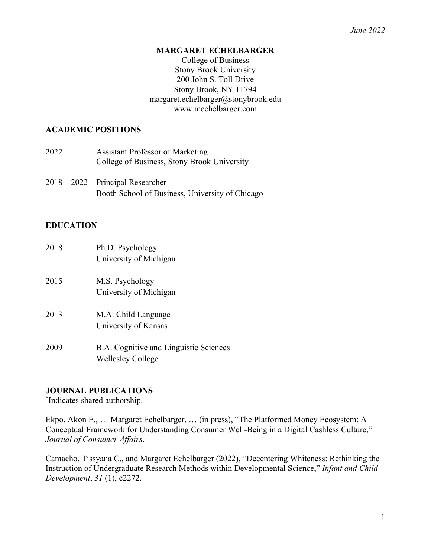#### **MARGARET ECHELBARGER**

College of Business Stony Brook University 200 John S. Toll Drive Stony Brook, NY 11794 margaret.echelbarger@stonybrook.edu www.mechelbarger.com

### **ACADEMIC POSITIONS**

| 2022 | <b>Assistant Professor of Marketing</b><br>College of Business, Stony Brook University |  |
|------|----------------------------------------------------------------------------------------|--|
|      | 2018 – 2022 Principal Researcher                                                       |  |

# Booth School of Business, University of Chicago

### **EDUCATION**

| 2018 | Ph.D. Psychology<br>University of Michigan                         |
|------|--------------------------------------------------------------------|
| 2015 | M.S. Psychology<br>University of Michigan                          |
| 2013 | M.A. Child Language<br>University of Kansas                        |
| 2009 | B.A. Cognitive and Linguistic Sciences<br><b>Wellesley College</b> |

## **JOURNAL PUBLICATIONS**

\* Indicates shared authorship.

Ekpo, Akon E., … Margaret Echelbarger, … (in press), "The Platformed Money Ecosystem: A Conceptual Framework for Understanding Consumer Well-Being in a Digital Cashless Culture," *Journal of Consumer Affairs*.

Camacho, Tissyana C., and Margaret Echelbarger (2022), "Decentering Whiteness: Rethinking the Instruction of Undergraduate Research Methods within Developmental Science," *Infant and Child Development*, *31* (1), e2272.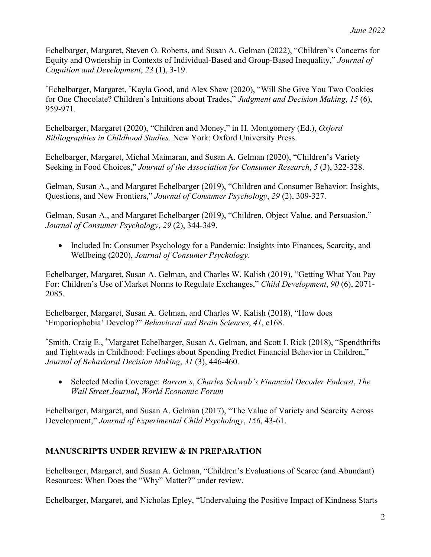Echelbarger, Margaret, Steven O. Roberts, and Susan A. Gelman (2022), "Children's Concerns for Equity and Ownership in Contexts of Individual-Based and Group-Based Inequality," *Journal of Cognition and Development*, *23* (1), 3-19.

\* Echelbarger, Margaret, \* Kayla Good, and Alex Shaw (2020), "Will She Give You Two Cookies for One Chocolate? Children's Intuitions about Trades," *Judgment and Decision Making*, *15* (6), 959-971.

Echelbarger, Margaret (2020), "Children and Money," in H. Montgomery (Ed.), *Oxford Bibliographies in Childhood Studies*. New York: Oxford University Press.

Echelbarger, Margaret, Michal Maimaran, and Susan A. Gelman (2020), "Children's Variety Seeking in Food Choices," *Journal of the Association for Consumer Research*, *5* (3), 322-328.

Gelman, Susan A., and Margaret Echelbarger (2019), "Children and Consumer Behavior: Insights, Questions, and New Frontiers," *Journal of Consumer Psychology*, *29* (2), 309-327.

Gelman, Susan A., and Margaret Echelbarger (2019), "Children, Object Value, and Persuasion," *Journal of Consumer Psychology*, *29* (2), 344-349.

• Included In: Consumer Psychology for a Pandemic: Insights into Finances, Scarcity, and Wellbeing (2020), *Journal of Consumer Psychology*.

Echelbarger, Margaret, Susan A. Gelman, and Charles W. Kalish (2019), "Getting What You Pay For: Children's Use of Market Norms to Regulate Exchanges," *Child Development*, *90* (6), 2071- 2085.

Echelbarger, Margaret, Susan A. Gelman, and Charles W. Kalish (2018), "How does 'Emporiophobia' Develop?" *Behavioral and Brain Sciences*, *41*, e168.

\* Smith, Craig E., \* Margaret Echelbarger, Susan A. Gelman, and Scott I. Rick (2018), "Spendthrifts and Tightwads in Childhood: Feelings about Spending Predict Financial Behavior in Children," *Journal of Behavioral Decision Making*, *31* (3), 446-460.

• Selected Media Coverage: *Barron's*, *Charles Schwab's Financial Decoder Podcast*, *The Wall Street Journal*, *World Economic Forum*

Echelbarger, Margaret, and Susan A. Gelman (2017), "The Value of Variety and Scarcity Across Development," *Journal of Experimental Child Psychology*, *156*, 43-61.

# **MANUSCRIPTS UNDER REVIEW & IN PREPARATION**

Echelbarger, Margaret, and Susan A. Gelman, "Children's Evaluations of Scarce (and Abundant) Resources: When Does the "Why" Matter?" under review.

Echelbarger, Margaret, and Nicholas Epley, "Undervaluing the Positive Impact of Kindness Starts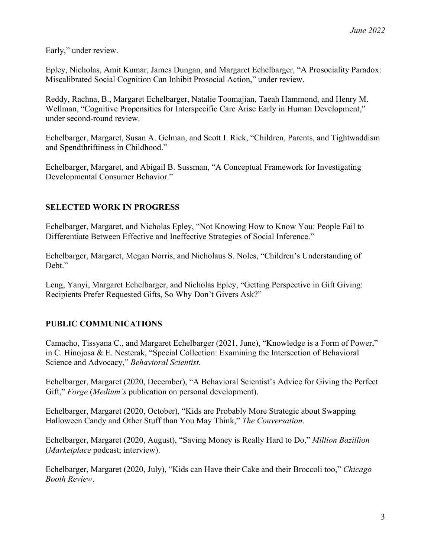Early," under review.

Epley, Nicholas, Amit Kumar, James Dungan, and Margaret Echelbarger, "A Prosociality Paradox: Miscalibrated Social Cognition Can Inhibit Prosocial Action," under review.

Reddy, Rachna, B., Margaret Echelbarger, Natalie Toomajian, Taeah Hammond, and Henry M. Wellman, "Cognitive Propensities for Interspecific Care Arise Early in Human Development," under second-round review.

Echelbarger, Margaret, Susan A. Gelman, and Scott I. Rick, "Children, Parents, and Tightwaddism and Spendthriftiness in Childhood."

Echelbarger, Margaret, and Abigail B. Sussman, "A Conceptual Framework for Investigating Developmental Consumer Behavior."

### **SELECTED WORK IN PROGRESS**

Echelbarger, Margaret, and Nicholas Epley, "Not Knowing How to Know You: People Fail to Differentiate Between Effective and Ineffective Strategies of Social Inference."

Echelbarger, Margaret, Megan Norris, and Nicholaus S. Noles, "Children's Understanding of Debt."

Leng, Yanyi, Margaret Echelbarger, and Nicholas Epley, "Getting Perspective in Gift Giving: Recipients Prefer Requested Gifts, So Why Don't Givers Ask?"

## **PUBLIC COMMUNICATIONS**

Camacho, Tissyana C., and Margaret Echelbarger (2021, June), "Knowledge is a Form of Power," in C. Hinojosa & E. Nesterak, "Special Collection: Examining the Intersection of Behavioral Science and Advocacy," *Behavioral Scientist*.

Echelbarger, Margaret (2020, December), "A Behavioral Scientist's Advice for Giving the Perfect Gift," *Forge* (*Medium's* publication on personal development).

Echelbarger, Margaret (2020, October), "Kids are Probably More Strategic about Swapping Halloween Candy and Other Stuff than You May Think," *The Conversation*.

Echelbarger, Margaret (2020, August), "Saving Money is Really Hard to Do," *Million Bazillion* (*Marketplace* podcast; interview).

Echelbarger, Margaret (2020, July), "Kids can Have their Cake and their Broccoli too," *Chicago Booth Review*.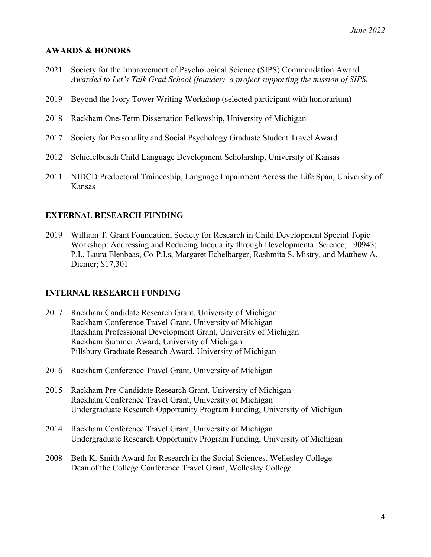### **AWARDS & HONORS**

- 2021 Society for the Improvement of Psychological Science (SIPS) Commendation Award *Awarded to Let's Talk Grad School (founder), a project supporting the mission of SIPS.*
- 2019 Beyond the Ivory Tower Writing Workshop (selected participant with honorarium)
- 2018 Rackham One-Term Dissertation Fellowship, University of Michigan
- 2017 Society for Personality and Social Psychology Graduate Student Travel Award
- 2012 Schiefelbusch Child Language Development Scholarship, University of Kansas
- 2011 NIDCD Predoctoral Traineeship, Language Impairment Across the Life Span, University of Kansas

#### **EXTERNAL RESEARCH FUNDING**

2019 William T. Grant Foundation, Society for Research in Child Development Special Topic Workshop: Addressing and Reducing Inequality through Developmental Science; 190943; P.I., Laura Elenbaas, Co-P.I.s, Margaret Echelbarger, Rashmita S. Mistry, and Matthew A. Diemer; \$17,301

#### **INTERNAL RESEARCH FUNDING**

- 2017 Rackham Candidate Research Grant, University of Michigan Rackham Conference Travel Grant, University of Michigan Rackham Professional Development Grant, University of Michigan Rackham Summer Award, University of Michigan Pillsbury Graduate Research Award, University of Michigan
- 2016 Rackham Conference Travel Grant, University of Michigan
- 2015 Rackham Pre-Candidate Research Grant, University of Michigan Rackham Conference Travel Grant, University of Michigan Undergraduate Research Opportunity Program Funding, University of Michigan
- 2014 Rackham Conference Travel Grant, University of Michigan Undergraduate Research Opportunity Program Funding, University of Michigan
- 2008 Beth K. Smith Award for Research in the Social Sciences, Wellesley College Dean of the College Conference Travel Grant, Wellesley College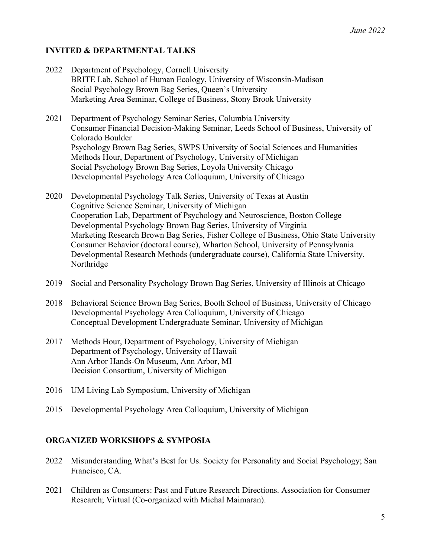## **INVITED & DEPARTMENTAL TALKS**

- 2022 Department of Psychology, Cornell University BRITE Lab, School of Human Ecology, University of Wisconsin-Madison Social Psychology Brown Bag Series, Queen's University Marketing Area Seminar, College of Business, Stony Brook University
- 2021 Department of Psychology Seminar Series, Columbia University Consumer Financial Decision-Making Seminar, Leeds School of Business, University of Colorado Boulder Psychology Brown Bag Series, SWPS University of Social Sciences and Humanities Methods Hour, Department of Psychology, University of Michigan Social Psychology Brown Bag Series, Loyola University Chicago Developmental Psychology Area Colloquium, University of Chicago
- 2020 Developmental Psychology Talk Series, University of Texas at Austin Cognitive Science Seminar, University of Michigan Cooperation Lab, Department of Psychology and Neuroscience, Boston College Developmental Psychology Brown Bag Series, University of Virginia Marketing Research Brown Bag Series, Fisher College of Business, Ohio State University Consumer Behavior (doctoral course), Wharton School, University of Pennsylvania Developmental Research Methods (undergraduate course), California State University, Northridge
- 2019 Social and Personality Psychology Brown Bag Series, University of Illinois at Chicago
- 2018 Behavioral Science Brown Bag Series, Booth School of Business, University of Chicago Developmental Psychology Area Colloquium, University of Chicago Conceptual Development Undergraduate Seminar, University of Michigan
- 2017 Methods Hour, Department of Psychology, University of Michigan Department of Psychology, University of Hawaii Ann Arbor Hands-On Museum, Ann Arbor, MI Decision Consortium, University of Michigan
- 2016 UM Living Lab Symposium, University of Michigan
- 2015 Developmental Psychology Area Colloquium, University of Michigan

## **ORGANIZED WORKSHOPS & SYMPOSIA**

- 2022 Misunderstanding What's Best for Us. Society for Personality and Social Psychology; San Francisco, CA.
- 2021 Children as Consumers: Past and Future Research Directions. Association for Consumer Research; Virtual (Co-organized with Michal Maimaran).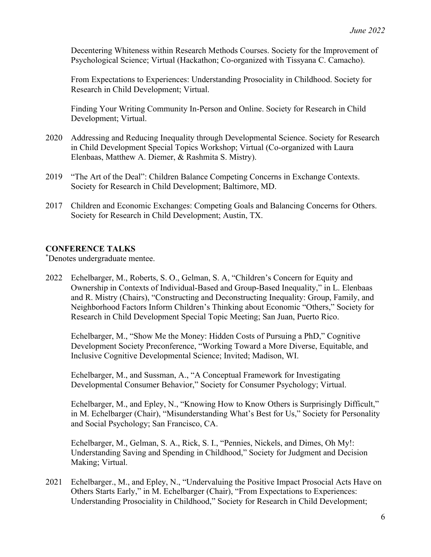Decentering Whiteness within Research Methods Courses. Society for the Improvement of Psychological Science; Virtual (Hackathon; Co-organized with Tissyana C. Camacho).

From Expectations to Experiences: Understanding Prosociality in Childhood. Society for Research in Child Development; Virtual.

Finding Your Writing Community In-Person and Online. Society for Research in Child Development; Virtual.

- 2020 Addressing and Reducing Inequality through Developmental Science. Society for Research in Child Development Special Topics Workshop; Virtual (Co-organized with Laura Elenbaas, Matthew A. Diemer, & Rashmita S. Mistry).
- 2019 "The Art of the Deal": Children Balance Competing Concerns in Exchange Contexts. Society for Research in Child Development; Baltimore, MD.
- 2017 Children and Economic Exchanges: Competing Goals and Balancing Concerns for Others. Society for Research in Child Development; Austin, TX.

### **CONFERENCE TALKS**

\* Denotes undergraduate mentee.

2022 Echelbarger, M., Roberts, S. O., Gelman, S. A, "Children's Concern for Equity and Ownership in Contexts of Individual-Based and Group-Based Inequality," in L. Elenbaas and R. Mistry (Chairs), "Constructing and Deconstructing Inequality: Group, Family, and Neighborhood Factors Inform Children's Thinking about Economic "Others," Society for Research in Child Development Special Topic Meeting; San Juan, Puerto Rico.

Echelbarger, M., "Show Me the Money: Hidden Costs of Pursuing a PhD," Cognitive Development Society Preconference, "Working Toward a More Diverse, Equitable, and Inclusive Cognitive Developmental Science; Invited; Madison, WI.

Echelbarger, M., and Sussman, A., "A Conceptual Framework for Investigating Developmental Consumer Behavior," Society for Consumer Psychology; Virtual.

Echelbarger, M., and Epley, N., "Knowing How to Know Others is Surprisingly Difficult," in M. Echelbarger (Chair), "Misunderstanding What's Best for Us," Society for Personality and Social Psychology; San Francisco, CA.

Echelbarger, M., Gelman, S. A., Rick, S. I., "Pennies, Nickels, and Dimes, Oh My!: Understanding Saving and Spending in Childhood," Society for Judgment and Decision Making; Virtual.

2021 Echelbarger., M., and Epley, N., "Undervaluing the Positive Impact Prosocial Acts Have on Others Starts Early," in M. Echelbarger (Chair), "From Expectations to Experiences: Understanding Prosociality in Childhood," Society for Research in Child Development;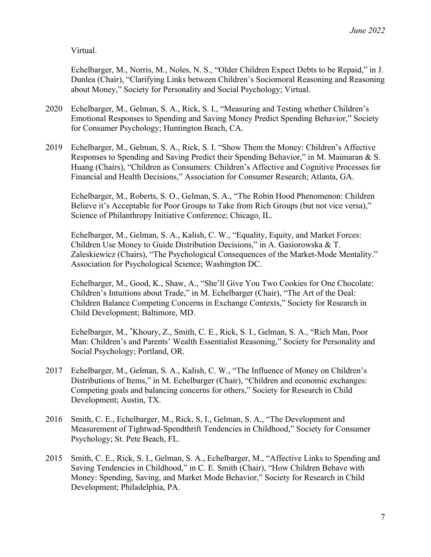Virtual.

Echelbarger, M., Norris, M., Noles, N. S., "Older Children Expect Debts to be Repaid," in J. Dunlea (Chair), "Clarifying Links between Children's Sociomoral Reasoning and Reasoning about Money," Society for Personality and Social Psychology; Virtual.

- 2020 Echelbarger, M., Gelman, S. A., Rick, S. I., "Measuring and Testing whether Children's Emotional Responses to Spending and Saving Money Predict Spending Behavior," Society for Consumer Psychology; Huntington Beach, CA.
- 2019 Echelbarger, M., Gelman, S. A., Rick, S. I. "Show Them the Money: Children's Affective Responses to Spending and Saving Predict their Spending Behavior," in M. Maimaran & S. Huang (Chairs), "Children as Consumers: Children's Affective and Cognitive Processes for Financial and Health Decisions," Association for Consumer Research; Atlanta, GA.

Echelbarger, M., Roberts, S. O., Gelman, S. A., "The Robin Hood Phenomenon: Children Believe it's Acceptable for Poor Groups to Take from Rich Groups (but not vice versa)," Science of Philanthropy Initiative Conference; Chicago, IL.

Echelbarger, M., Gelman, S. A., Kalish, C. W., "Equality, Equity, and Market Forces: Children Use Money to Guide Distribution Decisions," in A. Gasiorowska & T. Zaleskiewicz (Chairs), "The Psychological Consequences of the Market-Mode Mentality." Association for Psychological Science; Washington DC.

Echelbarger, M., Good, K., Shaw, A., "She'll Give You Two Cookies for One Chocolate: Children's Intuitions about Trade," in M. Echelbarger (Chair), "The Art of the Deal: Children Balance Competing Concerns in Exchange Contexts," Society for Research in Child Development; Baltimore, MD.

Echelbarger, M., \* Khoury, Z., Smith, C. E., Rick, S. I., Gelman, S. A., "Rich Man, Poor Man: Children's and Parents' Wealth Essentialist Reasoning," Society for Personality and Social Psychology; Portland, OR.

- 2017 Echelbarger, M., Gelman, S. A., Kalish, C. W., "The Influence of Money on Children's Distributions of Items," in M. Echelbarger (Chair), "Children and economic exchanges: Competing goals and balancing concerns for others," Society for Research in Child Development; Austin, TX.
- 2016 Smith, C. E., Echelbarger, M., Rick, S, I., Gelman, S. A., "The Development and Measurement of Tightwad-Spendthrift Tendencies in Childhood," Society for Consumer Psychology; St. Pete Beach, FL.
- 2015 Smith, C. E., Rick, S. I., Gelman, S. A., Echelbarger, M., "Affective Links to Spending and Saving Tendencies in Childhood," in C. E. Smith (Chair), "How Children Behave with Money: Spending, Saving, and Market Mode Behavior," Society for Research in Child Development; Philadelphia, PA.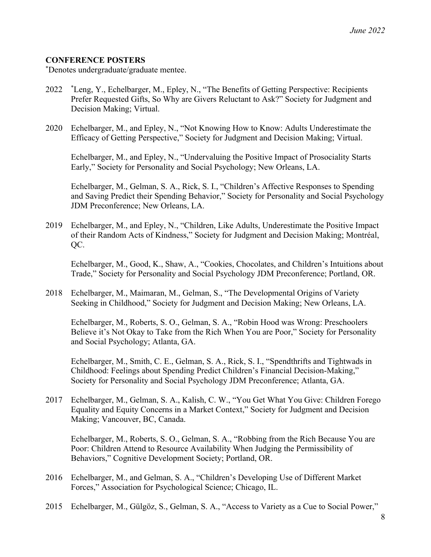#### **CONFERENCE POSTERS**

\* Denotes undergraduate/graduate mentee.

- 2022 \* Leng, Y., Echelbarger, M., Epley, N., "The Benefits of Getting Perspective: Recipients Prefer Requested Gifts, So Why are Givers Reluctant to Ask?" Society for Judgment and Decision Making; Virtual.
- 2020 Echelbarger, M., and Epley, N., "Not Knowing How to Know: Adults Underestimate the Efficacy of Getting Perspective," Society for Judgment and Decision Making; Virtual.

Echelbarger, M., and Epley, N., "Undervaluing the Positive Impact of Prosociality Starts Early," Society for Personality and Social Psychology; New Orleans, LA.

Echelbarger, M., Gelman, S. A., Rick, S. I., "Children's Affective Responses to Spending and Saving Predict their Spending Behavior," Society for Personality and Social Psychology JDM Preconference; New Orleans, LA.

2019 Echelbarger, M., and Epley, N., "Children, Like Adults, Underestimate the Positive Impact of their Random Acts of Kindness," Society for Judgment and Decision Making; Montréal, QC.

Echelbarger, M., Good, K., Shaw, A., "Cookies, Chocolates, and Children's Intuitions about Trade," Society for Personality and Social Psychology JDM Preconference; Portland, OR.

2018 Echelbarger, M., Maimaran, M., Gelman, S., "The Developmental Origins of Variety Seeking in Childhood," Society for Judgment and Decision Making; New Orleans, LA.

Echelbarger, M., Roberts, S. O., Gelman, S. A., "Robin Hood was Wrong: Preschoolers Believe it's Not Okay to Take from the Rich When You are Poor," Society for Personality and Social Psychology; Atlanta, GA.

Echelbarger, M., Smith, C. E., Gelman, S. A., Rick, S. I., "Spendthrifts and Tightwads in Childhood: Feelings about Spending Predict Children's Financial Decision-Making," Society for Personality and Social Psychology JDM Preconference; Atlanta, GA.

2017 Echelbarger, M., Gelman, S. A., Kalish, C. W., "You Get What You Give: Children Forego Equality and Equity Concerns in a Market Context," Society for Judgment and Decision Making; Vancouver, BC, Canada.

Echelbarger, M., Roberts, S. O., Gelman, S. A., "Robbing from the Rich Because You are Poor: Children Attend to Resource Availability When Judging the Permissibility of Behaviors," Cognitive Development Society; Portland, OR.

- 2016 Echelbarger, M., and Gelman, S. A., "Children's Developing Use of Different Market Forces," Association for Psychological Science; Chicago, IL.
- 2015 Echelbarger, M., Gülgöz, S., Gelman, S. A., "Access to Variety as a Cue to Social Power,"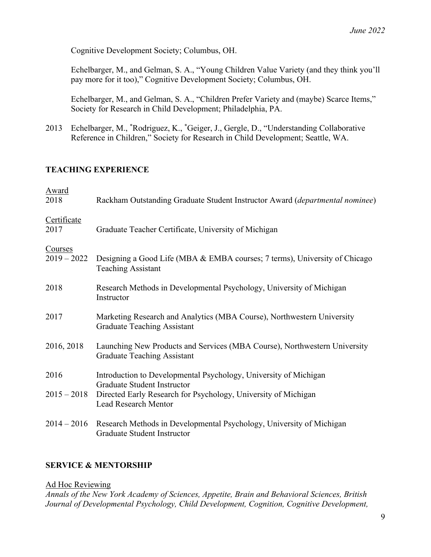Cognitive Development Society; Columbus, OH.

Echelbarger, M., and Gelman, S. A., "Young Children Value Variety (and they think you'll pay more for it too)," Cognitive Development Society; Columbus, OH.

Echelbarger, M., and Gelman, S. A., "Children Prefer Variety and (maybe) Scarce Items," Society for Research in Child Development; Philadelphia, PA.

2013 Echelbarger, M., \* Rodriguez, K., \* Geiger, J., Gergle, D., "Understanding Collaborative Reference in Children," Society for Research in Child Development; Seattle, WA.

## **TEACHING EXPERIENCE**

| Rackham Outstanding Graduate Student Instructor Award (departmental nominee)                                    |
|-----------------------------------------------------------------------------------------------------------------|
| Graduate Teacher Certificate, University of Michigan                                                            |
| Designing a Good Life (MBA & EMBA courses; 7 terms), University of Chicago<br><b>Teaching Assistant</b>         |
| Research Methods in Developmental Psychology, University of Michigan<br>Instructor                              |
| Marketing Research and Analytics (MBA Course), Northwestern University<br><b>Graduate Teaching Assistant</b>    |
| Launching New Products and Services (MBA Course), Northwestern University<br><b>Graduate Teaching Assistant</b> |
| Introduction to Developmental Psychology, University of Michigan<br>Graduate Student Instructor                 |
| $2015 - 2018$<br>Directed Early Research for Psychology, University of Michigan<br><b>Lead Research Mentor</b>  |
| Research Methods in Developmental Psychology, University of Michigan<br>Graduate Student Instructor             |
|                                                                                                                 |

## **SERVICE & MENTORSHIP**

#### Ad Hoc Reviewing

*Annals of the New York Academy of Sciences, Appetite, Brain and Behavioral Sciences, British Journal of Developmental Psychology, Child Development, Cognition, Cognitive Development,*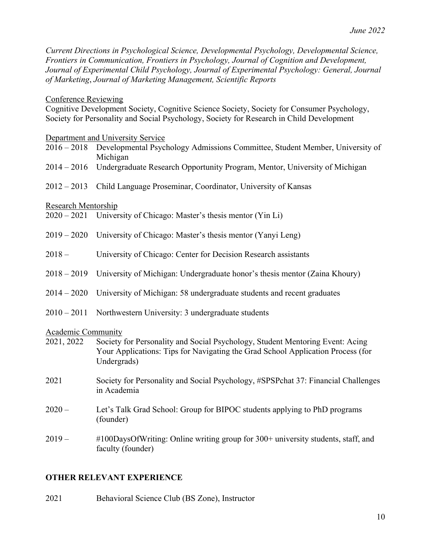*Current Directions in Psychological Science, Developmental Psychology, Developmental Science, Frontiers in Communication, Frontiers in Psychology, Journal of Cognition and Development, Journal of Experimental Child Psychology, Journal of Experimental Psychology: General, Journal of Marketing*, *Journal of Marketing Management, Scientific Reports*

#### Conference Reviewing

Cognitive Development Society, Cognitive Science Society, Society for Consumer Psychology, Society for Personality and Social Psychology, Society for Research in Child Development

Department and University Service

- 2016 2018 Developmental Psychology Admissions Committee, Student Member, University of Michigan
- 2014 2016 Undergraduate Research Opportunity Program, Mentor, University of Michigan
- 2012 2013 Child Language Proseminar, Coordinator, University of Kansas

#### Research Mentorship

|  | 2020 – 2021 University of Chicago: Master's thesis mentor (Yin Li) |  |
|--|--------------------------------------------------------------------|--|
|--|--------------------------------------------------------------------|--|

- 2019 2020 University of Chicago: Master's thesis mentor (Yanyi Leng)
- 2018 University of Chicago: Center for Decision Research assistants
- 2018 2019 University of Michigan: Undergraduate honor's thesis mentor (Zaina Khoury)
- 2014 2020 University of Michigan: 58 undergraduate students and recent graduates
- 2010 2011 Northwestern University: 3 undergraduate students

Academic Community

- 2021, 2022 Society for Personality and Social Psychology, Student Mentoring Event: Acing Your Applications: Tips for Navigating the Grad School Application Process (for Undergrads)
- 2021 Society for Personality and Social Psychology, #SPSPchat 37: Financial Challenges in Academia
- 2020 Let's Talk Grad School: Group for BIPOC students applying to PhD programs (founder)
- 2019 #100DaysOfWriting: Online writing group for 300+ university students, staff, and faculty (founder)

#### **OTHER RELEVANT EXPERIENCE**

2021 Behavioral Science Club (BS Zone), Instructor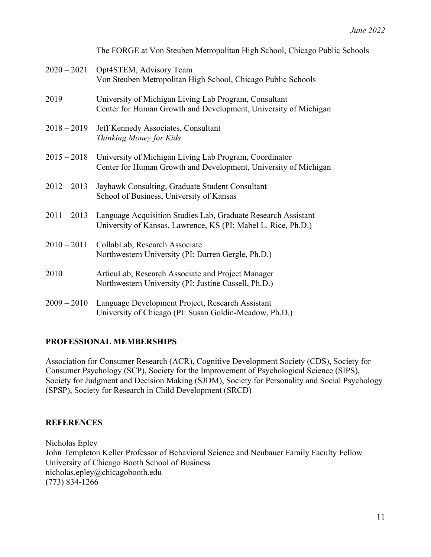|               | The FORGE at Von Steuben Metropolitan High School, Chicago Public Schools                                                             |
|---------------|---------------------------------------------------------------------------------------------------------------------------------------|
| $2020 - 2021$ | Opt4STEM, Advisory Team<br>Von Steuben Metropolitan High School, Chicago Public Schools                                               |
| 2019          | University of Michigan Living Lab Program, Consultant<br>Center for Human Growth and Development, University of Michigan              |
| $2018 - 2019$ | Jeff Kennedy Associates, Consultant<br>Thinking Money for Kids                                                                        |
|               | 2015 – 2018 University of Michigan Living Lab Program, Coordinator<br>Center for Human Growth and Development, University of Michigan |
| $2012 - 2013$ | Jayhawk Consulting, Graduate Student Consultant<br>School of Business, University of Kansas                                           |
| $2011 - 2013$ | Language Acquisition Studies Lab, Graduate Research Assistant<br>University of Kansas, Lawrence, KS (PI: Mabel L. Rice, Ph.D.)        |
| $2010 - 2011$ | CollabLab, Research Associate<br>Northwestern University (PI: Darren Gergle, Ph.D.)                                                   |
| 2010          | ArticuLab, Research Associate and Project Manager<br>Northwestern University (PI: Justine Cassell, Ph.D.)                             |
| $2009 - 2010$ | Language Development Project, Research Assistant<br>University of Chicago (PI: Susan Goldin-Meadow, Ph.D.)                            |

## **PROFESSIONAL MEMBERSHIPS**

Association for Consumer Research (ACR), Cognitive Development Society (CDS), Society for Consumer Psychology (SCP), Society for the Improvement of Psychological Science (SIPS), Society for Judgment and Decision Making (SJDM), Society for Personality and Social Psychology (SPSP), Society for Research in Child Development (SRCD)

## **REFERENCES**

Nicholas Epley John Templeton Keller Professor of Behavioral Science and Neubauer Family Faculty Fellow University of Chicago Booth School of Business nicholas.epley@chicagobooth.edu (773) 834-1266